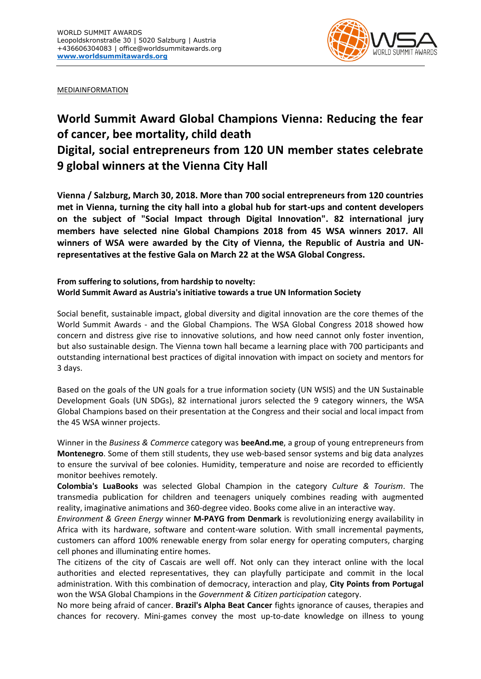

MEDIAINFORMATION

## **World Summit Award Global Champions Vienna: Reducing the fear of cancer, bee mortality, child death Digital, social entrepreneurs from 120 UN member states celebrate 9 global winners at the Vienna City Hall**

**Vienna / Salzburg, March 30, 2018. More than 700 social entrepreneurs from 120 countries met in Vienna, turning the city hall into a global hub for start-ups and content developers on the subject of "Social Impact through Digital Innovation". 82 international jury members have selected nine Global Champions 2018 from 45 WSA winners 2017. All winners of WSA were awarded by the City of Vienna, the Republic of Austria and UNrepresentatives at the festive Gala on March 22 at the WSA Global Congress.**

## **From suffering to solutions, from hardship to novelty: World Summit Award as Austria's initiative towards a true UN Information Society**

Social benefit, sustainable impact, global diversity and digital innovation are the core themes of the World Summit Awards - and the Global Champions. The WSA Global Congress 2018 showed how concern and distress give rise to innovative solutions, and how need cannot only foster invention, but also sustainable design. The Vienna town hall became a learning place with 700 participants and outstanding international best practices of digital innovation with impact on society and mentors for 3 days.

Based on the goals of the UN goals for a true information society (UN WSIS) and the UN Sustainable Development Goals (UN SDGs), 82 international jurors selected the 9 category winners, the WSA Global Champions based on their presentation at the Congress and their social and local impact from the 45 WSA winner projects.

Winner in the *Business & Commerce* category was **beeAnd.me**, a group of young entrepreneurs from **Montenegro**. Some of them still students, they use web-based sensor systems and big data analyzes to ensure the survival of bee colonies. Humidity, temperature and noise are recorded to efficiently monitor beehives remotely.

**Colombia's LuaBooks** was selected Global Champion in the category *Culture & Tourism*. The transmedia publication for children and teenagers uniquely combines reading with augmented reality, imaginative animations and 360-degree video. Books come alive in an interactive way.

*Environment & Green Energy* winner **M-PAYG from Denmark** is revolutionizing energy availability in Africa with its hardware, software and content-ware solution. With small incremental payments, customers can afford 100% renewable energy from solar energy for operating computers, charging cell phones and illuminating entire homes.

The citizens of the city of Cascais are well off. Not only can they interact online with the local authorities and elected representatives, they can playfully participate and commit in the local administration. With this combination of democracy, interaction and play, **City Points from Portugal** won the WSA Global Champions in the *Government & Citizen participation* category.

No more being afraid of cancer. **Brazil's Alpha Beat Cancer** fights ignorance of causes, therapies and chances for recovery. Mini-games convey the most up-to-date knowledge on illness to young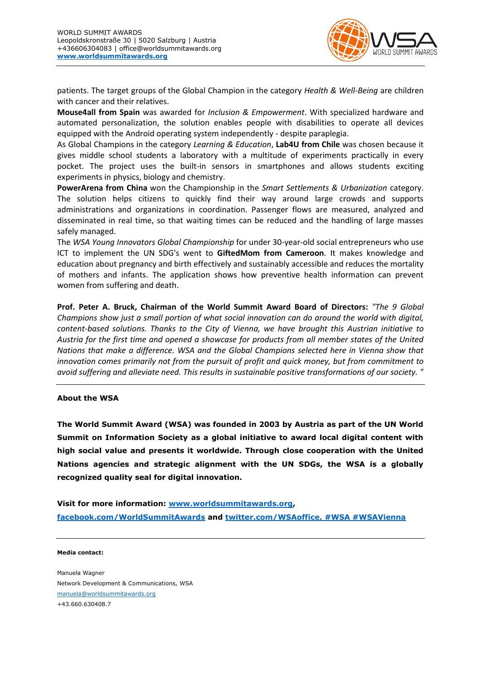

patients. The target groups of the Global Champion in the category *Health & Well-Being* are children with cancer and their relatives.

**Mouse4all from Spain** was awarded for *Inclusion & Empowerment*. With specialized hardware and automated personalization, the solution enables people with disabilities to operate all devices equipped with the Android operating system independently - despite paraplegia.

As Global Champions in the category *Learning & Education*, **Lab4U from Chile** was chosen because it gives middle school students a laboratory with a multitude of experiments practically in every pocket. The project uses the built-in sensors in smartphones and allows students exciting experiments in physics, biology and chemistry.

**PowerArena from China** won the Championship in the *Smart Settlements & Urbanization* category. The solution helps citizens to quickly find their way around large crowds and supports administrations and organizations in coordination. Passenger flows are measured, analyzed and disseminated in real time, so that waiting times can be reduced and the handling of large masses safely managed.

The *WSA Young Innovators Global Championship* for under 30-year-old social entrepreneurs who use ICT to implement the UN SDG's went to **GiftedMom from Cameroon**. It makes knowledge and education about pregnancy and birth effectively and sustainably accessible and reduces the mortality of mothers and infants. The application shows how preventive health information can prevent women from suffering and death.

**Prof. Peter A. Bruck, Chairman of the World Summit Award Board of Directors:** *"The 9 Global Champions show just a small portion of what social innovation can do around the world with digital, content-based solutions. Thanks to the City of Vienna, we have brought this Austrian initiative to Austria for the first time and opened a showcase for products from all member states of the United Nations that make a difference. WSA and the Global Champions selected here in Vienna show that innovation comes primarily not from the pursuit of profit and quick money, but from commitment to avoid suffering and alleviate need. This results in sustainable positive transformations of our society. "*

## **About the WSA**

**The World Summit Award (WSA) was founded in 2003 by Austria as part of the UN World Summit on Information Society as a global initiative to award local digital content with high social value and presents it worldwide. Through close cooperation with the United Nations agencies and strategic alignment with the UN SDGs, the WSA is a globally recognized quality seal for digital innovation.**

**Visit for more information: [www.worldsummitawards.org,](http://www.worldsummitawards.org/) [facebook.com/WorldSummitAwards](https://www.facebook.com/worldsummitawards/) and [twitter.com/WSAoffice, #WSA #WSAVienna](https://twitter.com/WSAoffice)**

**Media contact:** 

Manuela Wagner Network Development & Communications, WSA [manuela@worldsummitawards.org](mailto:seemann@icnm.net) +43.660.630408.7